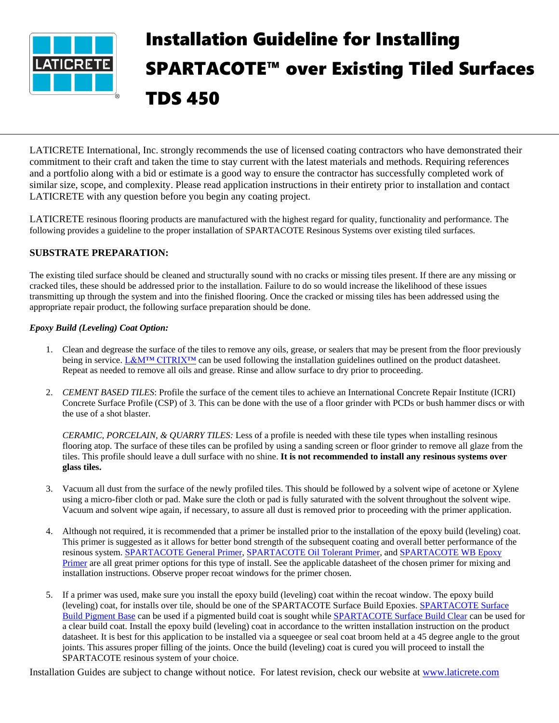

## Installation Guideline for Installing SPARTACOTE™ over Existing Tiled Surfaces TDS 450

LATICRETE International, Inc. strongly recommends the use of licensed coating contractors who have demonstrated their commitment to their craft and taken the time to stay current with the latest materials and methods. Requiring references and a portfolio along with a bid or estimate is a good way to ensure the contractor has successfully completed work of similar size, scope, and complexity. Please read application instructions in their entirety prior to installation and contact LATICRETE with any question before you begin any coating project.

LATICRETE resinous flooring products are manufactured with the highest regard for quality, functionality and performance. The following provides a guideline to the proper installation of SPARTACOTE Resinous Systems over existing tiled surfaces.

## **SUBSTRATE PREPARATION:**

The existing tiled surface should be cleaned and structurally sound with no cracks or missing tiles present. If there are any missing or cracked tiles, these should be addressed prior to the installation. Failure to do so would increase the likelihood of these issues transmitting up through the system and into the finished flooring. Once the cracked or missing tiles has been addressed using the appropriate repair product, the following surface preparation should be done.

## *Epoxy Build (Leveling) Coat Option:*

- 1. Clean and degrease the surface of the tiles to remove any oils, grease, or sealers that may be present from the floor previously being in service[. L&M™ CITRIX™](https://cdn.laticrete.com/~/media/product-documents/product-data-sheets/lds1766_lm-citrex.ashx?la=en&vs=1&d=20171212T164437Z) can be used following the installation guidelines outlined on the product datasheet. Repeat as needed to remove all oils and grease. Rinse and allow surface to dry prior to proceeding.
- 2. *CEMENT BASED TILES*: Profile the surface of the cement tiles to achieve an International Concrete Repair Institute (ICRI) Concrete Surface Profile (CSP) of 3. This can be done with the use of a floor grinder with PCDs or bush hammer discs or with the use of a shot blaster.

*CERAMIC, PORCELAIN, & QUARRY TILES:* Less of a profile is needed with these tile types when installing resinous flooring atop. The surface of these tiles can be profiled by using a sanding screen or floor grinder to remove all glaze from the tiles. This profile should leave a dull surface with no shine. **It is not recommended to install any resinous systems over glass tiles.**

- 3. Vacuum all dust from the surface of the newly profiled tiles. This should be followed by a solvent wipe of acetone or Xylene using a micro-fiber cloth or pad. Make sure the cloth or pad is fully saturated with the solvent throughout the solvent wipe. Vacuum and solvent wipe again, if necessary, to assure all dust is removed prior to proceeding with the primer application.
- 4. Although not required, it is recommended that a primer be installed prior to the installation of the epoxy build (leveling) coat. This primer is suggested as it allows for better bond strength of the subsequent coating and overall better performance of the resinous system. [SPARTACOTE General Primer,](https://cdn.laticrete.com/~/media/product-documents/product-data-sheets/ds-6226.ashx?la=en&vs=1&d=20190214T192101Z) [SPARTACOTE Oil Tolerant Primer,](https://cdn.laticrete.com/~/media/product-documents/product-data-sheets/ds6229-spartacote-oil-tolerant-primer.ashx?la=en&vs=1&d=20190107T141911Z) and [SPARTACOTE WB Epoxy](https://cdn.laticrete.com/~/media/product-documents/product-data-sheets/lds0858_spartacote-wb-epoxy-primer.ashx?la=en&vs=1&d=20171212T164444Z)  [Primer](https://cdn.laticrete.com/~/media/product-documents/product-data-sheets/lds0858_spartacote-wb-epoxy-primer.ashx?la=en&vs=1&d=20171212T164444Z) are all great primer options for this type of install. See the applicable datasheet of the chosen primer for mixing and installation instructions. Observe proper recoat windows for the primer chosen.
- 5. If a primer was used, make sure you install the epoxy build (leveling) coat within the recoat window. The epoxy build (leveling) coat, for installs over tile, should be one of the SPARTACOTE Surface Build Epoxies. [SPARTACOTE Surface](https://cdn.laticrete.com/~/media/product-documents/product-data-sheets/ds-6150.ashx?la=en&vs=1&d=20190903T213202Z)  [Build Pigment Base](https://cdn.laticrete.com/~/media/product-documents/product-data-sheets/ds-6150.ashx?la=en&vs=1&d=20190903T213202Z) can be used if a pigmented build coat is sought whil[e SPARTACOTE Surface Build Clear](https://cdn.laticrete.com/~/media/product-documents/product-data-sheets/ds-6230.ashx?la=en&vs=1&d=20190820T213230Z) can be used for a clear build coat. Install the epoxy build (leveling) coat in accordance to the written installation instruction on the product datasheet. It is best for this application to be installed via a squeegee or seal coat broom held at a 45 degree angle to the grout joints. This assures proper filling of the joints. Once the build (leveling) coat is cured you will proceed to install the SPARTACOTE resinous system of your choice.

Installation Guides are subject to change without notice. For latest revision, check our website at [www.laticrete.com](http://www.laticrete.com/)